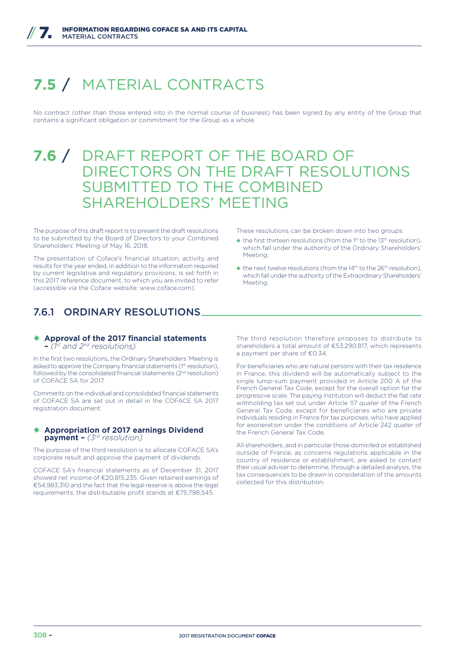# **7.5** / MATERIAL CONTRACTS

No contract (other than those entered into in the normal course of business) has been signed by any entity of the Group that contains a significant obligation or commitment for the Group as a whole.

# **7.6** / DRAFT REPORT OF THE BOARD OF DIRECTORS ON THE DRAFT RESOLUTIONS SUBMITTED TO THE COMBINED SHAREHOLDERS' MEETING

The purpose of this draft report is to present the draft resolutions to be submitted by the Board of Directors to your Combined Shareholders' Meeting of May 16, 2018.

The presentation of Coface's financial situation, activity and results for the year ended, in addition to the information required by current legislative and regulatory provisions, is set forth in this 2017 reference document, to which you are invited to refer (accessible *via* the Coface website: www. coface.com).

# 7.6.1 ORDINARY RESOLUTIONS

# ◆ Approval of the 2017 financial statements

**–** *(1st and 2nd resolutions)*

In the first two resolutions, the Ordinary Shareholders' Meeting is asked to approve the Company financial statements (1st resolution), followed by the consolidated financial statements  $(2^{nd}$  resolution) of COFACE SA for 2017.

Comments on the individual and consolidated financial statements of COFACE SA are set out in detail in the COFACE SA 2017 registration document.

#### ◆ Appropriation of 2017 earnings Dividend **payment –** *(3rd resolution)*

The purpose of the third resolution is to allocate COFACE SA's corporate result and approve the payment of dividends.

COFACE SA's financial statements as of December 31, 2017 showed net income of €20,815,235. Given retained earnings of €54,983,310 and the fact that the legal reserve is above the legal requirements, the distributable profit stands at €75,798,545.

These resolutions can be broken down into two groups:

- $\blacklozenge$  the first thirteen resolutions (from the 1st to the 13<sup>th</sup> resolution), which fall under the authority of the Ordinary Shareholders' Meeting;
- $\triangleq$  the next twelve resolutions (from the 14<sup>th</sup> to the 26<sup>th</sup> resolution), which fall under the authority of the Extraordinary Shareholders' Meeting.

The third resolution therefore proposes to distribute to shareholders a total amount of €53,290,817, which represents a payment per share of €0.34.

For beneficiaries who are natural persons with their tax residence in France, this dividend will be automatically subject to the single lump-sum payment provided in Article 200 A of the French General Tax Code, except for the overall option for the progressive scale. The paying institution will deduct the flat rate withholding tax set out under Article 117 *quater* of the French General Tax Code, except for beneficiaries who are private individuals residing in France for tax purposes, who have applied for exoneration under the conditions of Article 242 *quater* of the French General Tax Code.

All shareholders, and in particular those domiciled or established outside of France, as concerns regulations applicable in the country of residence or establishment, are asked to contact their usual adviser to determine, through a detailed analysis, the tax consequences to be drawn in consideration of the amounts collected for this distribution.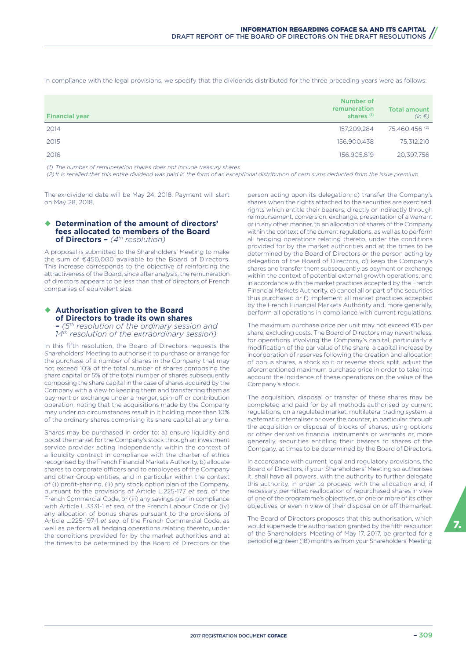In compliance with the legal provisions, we specify that the dividends distributed for the three preceding years were as follows:

| <b>Financial year</b> | Number of<br>remuneration<br>shares <sup>(1)</sup> | <b>Total amount</b><br>$(in \in)$ |
|-----------------------|----------------------------------------------------|-----------------------------------|
| 2014                  | 157,209,284                                        | 75,460,456 (2)                    |
| 2015                  | 156,900,438                                        | 75,312,210                        |
| 2016                  | 156,905,819                                        | 20,397,756                        |

*(1) The number of remuneration shares does not include treasury shares.*

*(2) It is recalled that this entire dividend was paid in the form of an exceptional distribution of cash sums deducted from the issue premium.*

The ex-dividend date will be May 24, 2018. Payment will start on May 28, 2018.

#### ◆ Determination of the amount of directors' **fees allocated to members of the Board of Directors –** *(4th resolution)*

A proposal is submitted to the Shareholders' Meeting to make the sum of €450,000 available to the Board of Directors. This increase corresponds to the objective of reinforcing the attractiveness of the Board, since after analysis, the remuneration of directors appears to be less than that of directors of French companies of equivalent size.

#### **↑ Authorisation given to the Board of Directors to trade its own shares –** *(5th resolution of the ordinary session and*

*14th resolution of the extraordinary session)*

In this fifth resolution, the Board of Directors requests the Shareholders' Meeting to authorise it to purchase or arrange for the purchase of a number of shares in the Company that may not exceed 10% of the total number of shares composing the share capital or 5% of the total number of shares subsequently composing the share capital in the case of shares acquired by the Company with a view to keeping them and transferring them as payment or exchange under a merger, spin-off or contribution operation, noting that the acquisitions made by the Company may under no circumstances result in it holding more than 10% of the ordinary shares comprising its share capital at any time.

Shares may be purchased in order to: a) ensure liquidity and boost the market for the Company's stock through an investment service provider acting independently within the context of a liquidity contract in compliance with the charter of ethics recognised by the French Financial Markets Authority, b) allocate shares to corporate officers and to employees of the Company and other Group entities, and in particular within the context of (i) profit-sharing, (ii) any stock option plan of the Company, pursuant to the provisions of Article L.225-177 *et seq*. of the French Commercial Code, or (iii) any savings plan in compliance with Article L.3331-1 *et seq*. of the French Labour Code or (iv) any allocation of bonus shares pursuant to the provisions of Article L.225-197-1 *et seq*. of the French Commercial Code, as well as perform all hedging operations relating thereto, under the conditions provided for by the market authorities and at the times to be determined by the Board of Directors or the person acting upon its delegation, c) transfer the Company's shares when the rights attached to the securities are exercised, rights which entitle their bearers, directly or indirectly through reimbursement, conversion, exchange, presentation of a warrant or in any other manner, to an allocation of shares of the Company within the context of the current regulations, as well as to perform all hedging operations relating thereto, under the conditions provided for by the market authorities and at the times to be determined by the Board of Directors or the person acting by delegation of the Board of Directors, d) keep the Company's shares and transfer them subsequently as payment or exchange within the context of potential external growth operations, and in accordance with the market practices accepted by the French Financial Markets Authority, e) cancel all or part of the securities thus purchased or f) implement all market practices accepted by the French Financial Markets Authority and, more generally, perform all operations in compliance with current regulations.

The maximum purchase price per unit may not exceed €15 per share, excluding costs. The Board of Directors may nevertheless, for operations involving the Company's capital, particularly a modification of the par value of the share, a capital increase by incorporation of reserves following the creation and allocation of bonus shares, a stock split or reverse stock split, adjust the aforementioned maximum purchase price in order to take into account the incidence of these operations on the value of the Company's stock.

The acquisition, disposal or transfer of these shares may be completed and paid for by all methods authorised by current regulations, on a regulated market, multilateral trading system, a systematic internaliser or over the counter, in particular through the acquisition or disposal of blocks of shares, using options or other derivative financial instruments or warrants or, more generally, securities entitling their bearers to shares of the Company, at times to be determined by the Board of Directors.

In accordance with current legal and regulatory provisions, the Board of Directors, if your Shareholders' Meeting so authorises it, shall have all powers, with the authority to further delegate this authority, in order to proceed with the allocation and, if necessary, permitted reallocation of repurchased shares in view of one of the programme's objectives, or one or more of its other objectives, or even in view of their disposal on or off the market.

The Board of Directors proposes that this authorisation, which would supersede the authorisation granted by the fifth resolution of the Shareholders' Meeting of May 17, 2017, be granted for a period of eighteen (18) months as from your Shareholders' Meeting.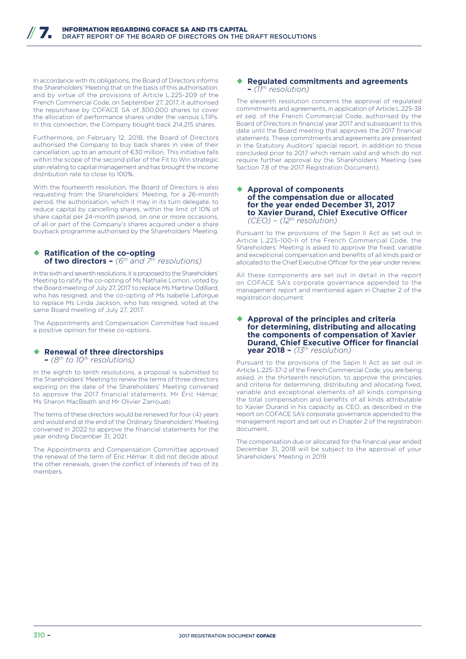In accordance with its obligations, the Board of Directors informs the Shareholders' Meeting that on the basis of this authorisation, and by virtue of the provisions of Article L.225-209 of the French Commercial Code, on September 27, 2017, it authorised the repurchase by COFACE SA of 300,000 shares to cover the allocation of performance shares under the various LTIPs. In this connection, the Company bought back 214,215 shares.

Furthermore, on February 12, 2018, the Board of Directors authorised the Company to buy back shares in view of their cancellation, up to an amount of €30 million. This initiative falls within the scope of the second pillar of the Fit to Win strategic plan relating to capital management and has brought the income distribution rate to close to 100%.

With the fourteenth resolution, the Board of Directors is also requesting from the Shareholders' Meeting, for a 26-month period, the authorisation, which it may in its turn delegate, to reduce capital by cancelling shares, within the limit of 10% of share capital per 24-month period, on one or more occasions, of all or part of the Company's shares acquired under a share buyback programme authorised by the Shareholders' Meeting.

#### **Ratification of the co-opting of two directors –** *(6th and 7th resolutions)*

In the sixth and seventh resolutions, it is proposed to the Shareholders' Meeting to ratify the co-opting of Ms Nathalie Lomon, voted by the Board meeting of July 27, 2017 to replace Ms Martine Odillard, who has resigned, and the co-opting of Ms Isabelle Laforgue to replace Ms Linda Jackson, who has resigned, voted at the same Board meeting of July 27, 2017.

The Appointments and Compensation Committee had issued a positive opinion for these co-options.

## ¡ **Renewal of three directorships**

**–** *(8th to 10th resolutions)*

In the eighth to tenth resolutions, a proposal is submitted to the Shareholders' Meeting to renew the terms of three directors expiring on the date of the Shareholders' Meeting convened to approve the 2017 financial statements. Mr Éric Hémar, Ms Sharon MacBeath and Mr Olivier Zarrouati.

The terms of these directors would be renewed for four (4) years and would end at the end of the Ordinary Shareholders' Meeting convened in 2022 to approve the financial statements for the year ending December 31, 2021.

The Appointments and Compensation Committee approved the renewal of the term of Éric Hémar. It did not decide about the other renewals, given the conflict of interests of two of its members.

#### ◆ Regulated commitments and agreements **–** *(11th resolution)*

The eleventh resolution concerns the approval of regulated commitments and agreements, in application of Article L.225-38 *et seq.* of the French Commercial Code, authorised by the Board of Directors in financial year 2017 and subsequent to this date until the Board meeting that approves the 2017 financial statements. These commitments and agreements are presented in the Statutory Auditors' special report, in addition to those concluded prior to 2017 which remain valid and which do not require further approval by the Shareholders' Meeting (see Section 7.8 of the 2017 Registration Document).

#### ◆ Approval of components **of the compensation due or allocated for the year ended December 31, 2017 to Xavier Durand, Chief Executive Officer** *(CEO) – (12th resolution)*

Pursuant to the provisions of the Sapin II Act as set out in Article L.225-100-II of the French Commercial Code, the Shareholders' Meeting is asked to approve the fixed, variable and exceptional compensation and benefits of all kinds paid or allocated to the Chief Executive Officer for the year under review.

All these components are set out in detail in the report on COFACE SA's corporate governance appended to the management report and mentioned again in Chapter 2 of the registration document.

#### ¡ **Approval of the principles and criteria for determining, distributing and allocating the components of compensation of Xavier Durand, Chief Executive Officer for financial year 2018 –** *(13th resolution)*

Pursuant to the provisions of the Sapin II Act as set out in Article L.225-37-2 of the French Commercial Code, you are being asked, in the thirteenth resolution, to approve the principles and criteria for determining, distributing and allocating fixed, variable and exceptional elements of all kinds comprising the total compensation and benefits of all kinds attributable to Xavier Durand in his capacity as CEO, as described in the report on COFACE SA's corporate governance appended to the management report and set out in Chapter 2 of the registration document.

The compensation due or allocated for the financial year ended December 31, 2018 will be subject to the approval of your Shareholders' Meeting in 2019.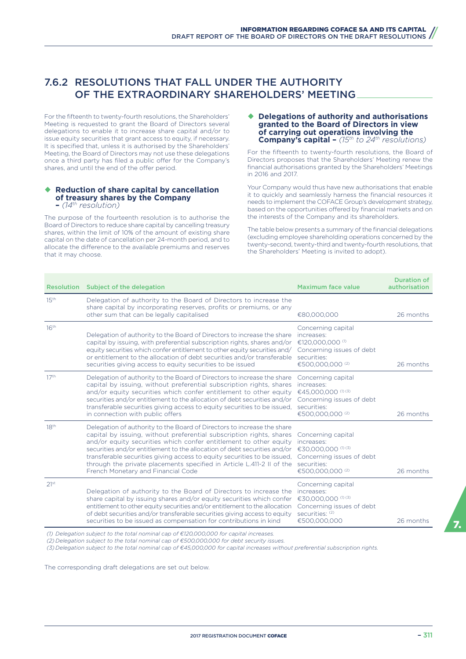## 7.6.2 RESOLUTIONS THAT FALL UNDER THE AUTHORITY OF THE EXTRAORDINARY SHAREHOLDERS' MEETING

For the fifteenth to twenty-fourth resolutions, the Shareholders' Meeting is requested to grant the Board of Directors several delegations to enable it to increase share capital and/or to issue equity securities that grant access to equity, if necessary. It is specified that, unless it is authorised by the Shareholders' Meeting, the Board of Directors may not use these delegations once a third party has filed a public offer for the Company's shares, and until the end of the offer period.

## ◆ Reduction of share capital by cancellation **of treasury shares by the Company**

## **–** *(14th resolution)*

The purpose of the fourteenth resolution is to authorise the Board of Directors to reduce share capital by cancelling treasury shares, within the limit of 10% of the amount of existing share capital on the date of cancellation per 24-month period, and to allocate the difference to the available premiums and reserves that it may choose.

#### ◆ Delegations of authority and authorisations **granted to the Board of Directors in view of carrying out operations involving the Company's capital –** *(15th to 24th resolutions)*

For the fifteenth to twenty-fourth resolutions, the Board of Directors proposes that the Shareholders' Meeting renew the financial authorisations granted by the Shareholders' Meetings in 2016 and 2017.

Your Company would thus have new authorisations that enable it to quickly and seamlessly harness the financial resources it needs to implement the COFACE Group's development strategy, based on the opportunities offered by financial markets and on the interests of the Company and its shareholders.

The table below presents a summary of the financial delegations (excluding employee shareholding operations concerned by the twenty-second, twenty-third and twenty-fourth resolutions, that the Shareholders' Meeting is invited to adopt).

| <b>Resolution</b> | Subject of the delegation                                                                                                                                                                                                                                                                                                                                                                                                                                                                    | Maximum face value                                                                                                                         | <b>Duration of</b><br>authorisation |
|-------------------|----------------------------------------------------------------------------------------------------------------------------------------------------------------------------------------------------------------------------------------------------------------------------------------------------------------------------------------------------------------------------------------------------------------------------------------------------------------------------------------------|--------------------------------------------------------------------------------------------------------------------------------------------|-------------------------------------|
| 15 <sup>th</sup>  | Delegation of authority to the Board of Directors to increase the<br>share capital by incorporating reserves, profits or premiums, or any<br>other sum that can be legally capitalised                                                                                                                                                                                                                                                                                                       | €80,000,000                                                                                                                                | 26 months                           |
| 16 <sup>th</sup>  | Delegation of authority to the Board of Directors to increase the share<br>capital by issuing, with preferential subscription rights, shares and/or<br>equity securities which confer entitlement to other equity securities and/<br>or entitlement to the allocation of debt securities and/or transferable<br>securities giving access to equity securities to be issued                                                                                                                   | Concerning capital<br>increases:<br>€120,000,000 <sup>(1)</sup><br>Concerning issues of debt<br>securities:<br>€500,000,000 <sup>(2)</sup> | 26 months                           |
| 17 <sup>th</sup>  | Delegation of authority to the Board of Directors to increase the share<br>capital by issuing, without preferential subscription rights, shares<br>and/or equity securities which confer entitlement to other equity<br>securities and/or entitlement to the allocation of debt securities and/or<br>transferable securities giving access to equity securities to be issued,<br>in connection with public offers                                                                            | Concerning capital<br>increases:<br>€45,000,000 <sup>(1) (3)</sup><br>Concerning issues of debt<br>securities:<br>€500,000,000 (2)         | 26 months                           |
| 18 <sup>th</sup>  | Delegation of authority to the Board of Directors to increase the share<br>capital by issuing, without preferential subscription rights, shares<br>and/or equity securities which confer entitlement to other equity<br>securities and/or entitlement to the allocation of debt securities and/or<br>transferable securities giving access to equity securities to be issued,<br>through the private placements specified in Article L.411-2 II of the<br>French Monetary and Financial Code | Concerning capital<br>increases:<br>€30.000.000 <sup>(1) (3)</sup><br>Concerning issues of debt<br>securities:<br>€500,000,000 (2)         | 26 months                           |
| 21 <sup>st</sup>  | Delegation of authority to the Board of Directors to increase the<br>share capital by issuing shares and/or equity securities which confer<br>entitlement to other equity securities and/or entitlement to the allocation<br>of debt securities and/or transferable securities giving access to equity<br>securities to be issued as compensation for contributions in kind                                                                                                                  | Concerning capital<br>increases:<br>€30,000,000 <sup>(1) (3)</sup><br>Concerning issues of debt<br>securities: (2)<br>€500,000,000         | 26 months                           |

*(1) Delegation subject to the total nominal cap of €120,000,000 for capital increases.*

*(2) Delegation subject to the total nominal cap of €500,000,000 for debt security issues.*

*(3) Delegation subject to the total nominal cap of €45,000,000 for capital increases without preferential subscription rights.*

The corresponding draft delegations are set out below.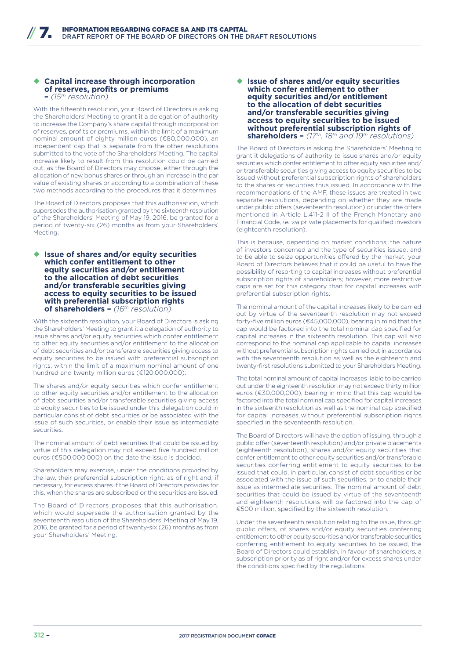#### ◆ Capital increase through incorporation **of reserves, profits or premiums –** *(15th resolution)*

With the fifteenth resolution, your Board of Directors is asking the Shareholders' Meeting to grant it a delegation of authority to increase the Company's share capital through incorporation of reserves, profits or premiums, within the limit of a maximum nominal amount of eighty million euros (€80,000,000), an independent cap that is separate from the other resolutions submitted to the vote of the Shareholders' Meeting. The capital increase likely to result from this resolution could be carried out, as the Board of Directors may choose, either through the allocation of new bonus shares or through an increase in the par value of existing shares or according to a combination of these two methods according to the procedures that it determines.

The Board of Directors proposes that this authorisation, which supersedes the authorisation granted by the sixteenth resolution of the Shareholders' Meeting of May 19, 2016, be granted for a period of twenty-six (26) months as from your Shareholders' Meeting.

◆ Issue of shares and/or equity securities **which confer entitlement to other equity securities and/or entitlement to the allocation of debt securities and/or transferable securities giving access to equity securities to be issued with preferential subscription rights of shareholders –** *(16th resolution)*

With the sixteenth resolution, your Board of Directors is asking the Shareholders' Meeting to grant it a delegation of authority to issue shares and/or equity securities which confer entitlement to other equity securities and/or entitlement to the allocation of debt securities and/or transferable securities giving access to equity securities to be issued with preferential subscription rights, within the limit of a maximum nominal amount of one hundred and twenty million euros (€120,000,000).

The shares and/or equity securities which confer entitlement to other equity securities and/or entitlement to the allocation of debt securities and/or transferable securities giving access to equity securities to be issued under this delegation could in particular consist of debt securities or be associated with the issue of such securities, or enable their issue as intermediate securities.

The nominal amount of debt securities that could be issued by virtue of this delegation may not exceed five hundred million euros (€500,000,000) on the date the issue is decided.

Shareholders may exercise, under the conditions provided by the law, their preferential subscription right, as of right and, if necessary, for excess shares if the Board of Directors provides for this, when the shares are subscribed or the securities are issued.

The Board of Directors proposes that this authorisation, which would supersede the authorisation granted by the seventeenth resolution of the Shareholders' Meeting of May 19, 2016, be granted for a period of twenty-six (26) months as from your Shareholders' Meeting.

#### ◆ Issue of shares and/or equity securities **which confer entitlement to other equity securities and/or entitlement to the allocation of debt securities and/or transferable securities giving access to equity securities to be issued without preferential subscription rights of shareholders –** *(17th, 18th and 19th resolutions)*

The Board of Directors is asking the Shareholders' Meeting to grant it delegations of authority to issue shares and/or equity securities which confer entitlement to other equity securities and/ or transferable securities giving access to equity securities to be issued without preferential subscription rights of shareholders to the shares or securities thus issued. In accordance with the recommendations of the AMF, these issues are treated in two separate resolutions, depending on whether they are made under public offers (seventeenth resolution) or under the offers mentioned in Article L.411-2 II of the French Monetary and Financial Code, *i.e. via* private placements for qualified investors (eighteenth resolution).

This is because, depending on market conditions, the nature of investors concerned and the type of securities issued, and to be able to seize opportunities offered by the market, your Board of Directors believes that it could be useful to have the possibility of resorting to capital increases without preferential subscription rights of shareholders; however, more restrictive caps are set for this category than for capital increases with preferential subscription rights.

The nominal amount of the capital increases likely to be carried out by virtue of the seventeenth resolution may not exceed forty-five million euros (€45,000,000), bearing in mind that this cap would be factored into the total nominal cap specified for capital increases in the sixteenth resolution. This cap will also correspond to the nominal cap applicable to capital increases without preferential subscription rights carried out in accordance with the seventeenth resolution as well as the eighteenth and twenty-first resolutions submitted to your Shareholders Meeting.

The total nominal amount of capital increases liable to be carried out under the eighteenth resolution may not exceed thirty million euros (€30,000,000), bearing in mind that this cap would be factored into the total nominal cap specified for capital increases in the sixteenth resolution as well as the nominal cap specified for capital increases without preferential subscription rights specified in the seventeenth resolution.

The Board of Directors will have the option of issuing, through a public offer (seventeenth resolution) and/or private placements (eighteenth resolution), shares and/or equity securities that confer entitlement to other equity securities and/or transferable securities conferring entitlement to equity securities to be issued that could, in particular, consist of debt securities or be associated with the issue of such securities, or to enable their issue as intermediate securities. The nominal amount of debt securities that could be issued by virtue of the seventeenth and eighteenth resolutions will be factored into the cap of €500 million, specified by the sixteenth resolution.

Under the seventeenth resolution relating to the issue, through public offers, of shares and/or equity securities conferring entitlement to other equity securities and/or transferable securities conferring entitlement to equity securities to be issued, the Board of Directors could establish, in favour of shareholders, a subscription priority as of right and/or for excess shares under the conditions specified by the regulations.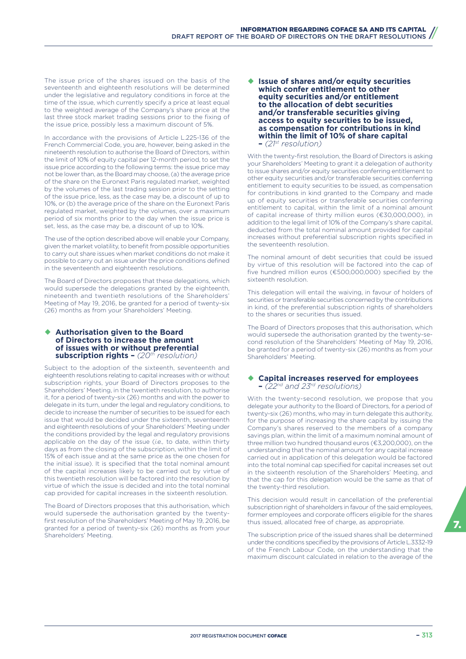The issue price of the shares issued on the basis of the seventeenth and eighteenth resolutions will be determined under the legislative and regulatory conditions in force at the time of the issue, which currently specify a price at least equal to the weighted average of the Company's share price at the last three stock market trading sessions prior to the fixing of the issue price, possibly less a maximum discount of 5%.

In accordance with the provisions of Article L.225-136 of the French Commercial Code, you are, however, being asked in the nineteenth resolution to authorise the Board of Directors, within the limit of 10% of equity capital per 12-month period, to set the issue price according to the following terms: the issue price may not be lower than, as the Board may choose, (a) the average price of the share on the Euronext Paris regulated market, weighted by the volumes of the last trading session prior to the setting of the issue price, less, as the case may be, a discount of up to 10%, or (b) the average price of the share on the Euronext Paris regulated market, weighted by the volumes, over a maximum period of six months prior to the day when the issue price is set, less, as the case may be, a discount of up to 10%.

The use of the option described above will enable your Company, given the market volatility, to benefit from possible opportunities to carry out share issues when market conditions do not make it possible to carry out an issue under the price conditions defined in the seventeenth and eighteenth resolutions.

The Board of Directors proposes that these delegations, which would supersede the delegations granted by the eighteenth nineteenth and twentieth resolutions of the Shareholders' Meeting of May 19, 2016, be granted for a period of twenty-six (26) months as from your Shareholders' Meeting.

#### **Authorisation given to the Board of Directors to increase the amount of issues with or without preferential subscription rights –** *(20th resolution)*

Subject to the adoption of the sixteenth, seventeenth and eighteenth resolutions relating to capital increases with or without subscription rights, your Board of Directors proposes to the Shareholders' Meeting, in the twentieth resolution, to authorise it, for a period of twenty-six (26) months and with the power to delegate in its turn, under the legal and regulatory conditions, to decide to increase the number of securities to be issued for each issue that would be decided under the sixteenth, seventeenth and eighteenth resolutions of your Shareholders' Meeting under the conditions provided by the legal and regulatory provisions applicable on the day of the issue (*i.e.,* to date, within thirty days as from the closing of the subscription, within the limit of 15% of each issue and at the same price as the one chosen for the initial issue). It is specified that the total nominal amount of the capital increases likely to be carried out by virtue of this twentieth resolution will be factored into the resolution by virtue of which the issue is decided and into the total nominal cap provided for capital increases in the sixteenth resolution.

The Board of Directors proposes that this authorisation, which would supersede the authorisation granted by the twentyfirst resolution of the Shareholders' Meeting of May 19, 2016, be granted for a period of twenty-six (26) months as from your Shareholders' Meeting.

◆ Issue of shares and/or equity securities **which confer entitlement to other equity securities and/or entitlement to the allocation of debt securities and/or transferable securities giving access to equity securities to be issued, as compensation for contributions in kind within the limit of 10% of share capital –** *(21st resolution)*

With the twenty-first resolution, the Board of Directors is asking your Shareholders' Meeting to grant it a delegation of authority to issue shares and/or equity securities conferring entitlement to other equity securities and/or transferable securities conferring entitlement to equity securities to be issued, as compensation for contributions in kind granted to the Company and made up of equity securities or transferable securities conferring entitlement to capital, within the limit of a nominal amount of capital increase of thirty million euros (€30,000,000), in addition to the legal limit of 10% of the Company's share capital, deducted from the total nominal amount provided for capital increases without preferential subscription rights specified in the seventeenth resolution.

The nominal amount of debt securities that could be issued by virtue of this resolution will be factored into the cap of five hundred million euros (€500,000,000) specified by the sixteenth resolution.

This delegation will entail the waiving, in favour of holders of securities or transferable securities concerned by the contributions in kind, of the preferential subscription rights of shareholders to the shares or securities thus issued.

The Board of Directors proposes that this authorisation, which would supersede the authorisation granted by the twenty-second resolution of the Shareholders' Meeting of May 19, 2016, be granted for a period of twenty-six (26) months as from your Shareholders' Meeting.

## ¡ **Capital increases reserved for employees –** *(22nd and 23rd resolutions)*

With the twenty-second resolution, we propose that you delegate your authority to the Board of Directors, for a period of twenty-six (26) months, who may in turn delegate this authority, for the purpose of increasing the share capital by issuing the Company's shares reserved to the members of a company savings plan, within the limit of a maximum nominal amount of three million two hundred thousand euros (€3,200,000), on the understanding that the nominal amount for any capital increase carried out in application of this delegation would be factored into the total nominal cap specified for capital increases set out in the sixteenth resolution of the Shareholders' Meeting, and that the cap for this delegation would be the same as that of the twenty-third resolution.

This decision would result in cancellation of the preferential subscription right of shareholders in favour of the said employees, former employees and corporate officers eligible for the shares thus issued, allocated free of charge, as appropriate.

The subscription price of the issued shares shall be determined under the conditions specified by the provisions of Article L.3332-19 of the French Labour Code, on the understanding that the maximum discount calculated in relation to the average of the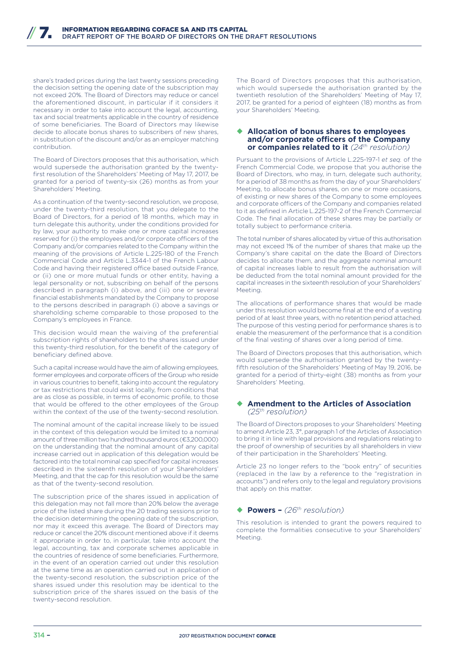share's traded prices during the last twenty sessions preceding the decision setting the opening date of the subscription may not exceed 20%. The Board of Directors may reduce or cancel the aforementioned discount, in particular if it considers it necessary in order to take into account the legal, accounting, tax and social treatments applicable in the country of residence of some beneficiaries. The Board of Directors may likewise decide to allocate bonus shares to subscribers of new shares, in substitution of the discount and/or as an employer matching contribution.

The Board of Directors proposes that this authorisation, which would supersede the authorisation granted by the twentyfirst resolution of the Shareholders' Meeting of May 17, 2017, be granted for a period of twenty-six (26) months as from your Shareholders' Meeting.

As a continuation of the twenty-second resolution, we propose, under the twenty-third resolution, that you delegate to the Board of Directors, for a period of 18 months, which may in turn delegate this authority, under the conditions provided for by law, your authority to make one or more capital increases reserved for (i) the employees and/or corporate officers of the Company and/or companies related to the Company within the meaning of the provisions of Article L.225-180 of the French Commercial Code and Article L.3344-1 of the French Labour Code and having their registered office based outside France, or (ii) one or more mutual funds or other entity, having a legal personality or not, subscribing on behalf of the persons described in paragraph (i) above, and (iii) one or several financial establishments mandated by the Company to propose to the persons described in paragraph (i) above a savings or shareholding scheme comparable to those proposed to the Company's employees in France.

This decision would mean the waiving of the preferential subscription rights of shareholders to the shares issued under this twenty-third resolution, for the benefit of the category of beneficiary defined above.

Such a capital increase would have the aim of allowing employees, former employees and corporate officers of the Group who reside in various countries to benefit, taking into account the regulatory or tax restrictions that could exist locally, from conditions that are as close as possible, in terms of economic profile, to those that would be offered to the other employees of the Group within the context of the use of the twenty-second resolution.

The nominal amount of the capital increase likely to be issued in the context of this delegation would be limited to a nominal amount of three million two hundred thousand euros (€3,200,000) on the understanding that the nominal amount of any capital increase carried out in application of this delegation would be factored into the total nominal cap specified for capital increases described in the sixteenth resolution of your Shareholders' Meeting, and that the cap for this resolution would be the same as that of the twenty-second resolution.

The subscription price of the shares issued in application of this delegation may not fall more than 20% below the average price of the listed share during the 20 trading sessions prior to the decision determining the opening date of the subscription, nor may it exceed this average. The Board of Directors may reduce or cancel the 20% discount mentioned above if it deems it appropriate in order to, in particular, take into account the legal, accounting, tax and corporate schemes applicable in the countries of residence of some beneficiaries. Furthermore, in the event of an operation carried out under this resolution at the same time as an operation carried out in application of the twenty-second resolution, the subscription price of the shares issued under this resolution may be identical to the subscription price of the shares issued on the basis of the twenty-second resolution.

The Board of Directors proposes that this authorisation, which would supersede the authorisation granted by the twentieth resolution of the Shareholders' Meeting of May 17, 2017, be granted for a period of eighteen (18) months as from your Shareholders' Meeting.

#### ¡ **Allocation of bonus shares to employees**  and/or corporate officers of the Company **or companies related to it** *(24th resolution)*

Pursuant to the provisions of Article L.225-197-1 *et seq.* of the French Commercial Code, we propose that you authorise the Board of Directors, who may, in turn, delegate such authority, for a period of 38 months as from the day of your Shareholders' Meeting, to allocate bonus shares, on one or more occasions, of existing or new shares of the Company to some employees and corporate officers of the Company and companies related to it as defined in Article L.225-197-2 of the French Commercial Code. The final allocation of these shares may be partially or totally subject to performance criteria.

The total number of shares allocated by virtue of this authorisation may not exceed 1% of the number of shares that make up the Company's share capital on the date the Board of Directors decides to allocate them, and the aggregate nominal amount of capital increases liable to result from the authorisation will be deducted from the total nominal amount provided for the capital increases in the sixteenth resolution of your Shareholders' Meeting.

The allocations of performance shares that would be made under this resolution would become final at the end of a vesting period of at least three years, with no retention period attached. The purpose of this vesting period for performance shares is to enable the measurement of the performance that is a condition of the final vesting of shares over a long period of time.

The Board of Directors proposes that this authorisation, which would supersede the authorisation granted by the twentyfifth resolution of the Shareholders' Meeting of May 19, 2016, be granted for a period of thirty-eight (38) months as from your Shareholders' Meeting.

#### ¡ **Amendment to the Articles of Association**  *(25th resolution)*

The Board of Directors proposes to your Shareholders' Meeting to amend Article 23, 3°, paragraph 1 of the Articles of Association to bring it in line with legal provisions and regulations relating to the proof of ownership of securities by all shareholders in view of their participation in the Shareholders' Meeting.

Article 23 no longer refers to the "book entry" of securities (replaced in the law by a reference to the "registration in accounts") and refers only to the legal and regulatory provisions that apply on this matter.

## ◆ **Powers –**  $(26<sup>th</sup>$  resolution)

This resolution is intended to grant the powers required to complete the formalities consecutive to your Shareholders' Meeting.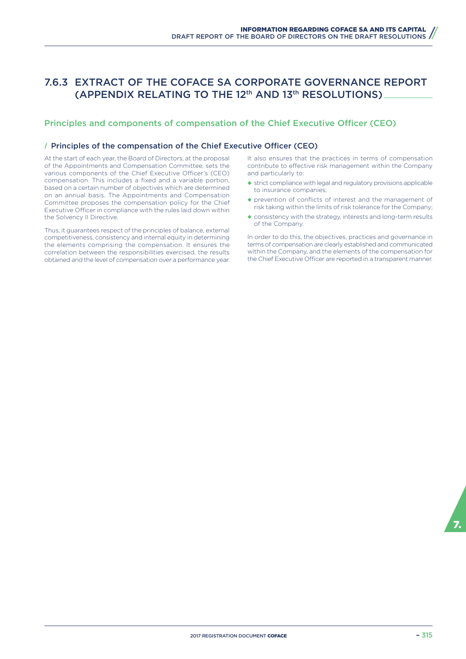# 7.6.3 EXTRACT OF THE COFACE SA CORPORATE GOVERNANCE REPORT (APPENDIX RELATING TO THE 12th AND 13th RESOLUTIONS)

## Principles and components of compensation of the Chief Executive Officer (CEO)

## / Principles of the compensation of the Chief Executive Officer (CEO)

At the start of each year, the Board of Directors, at the proposal of the Appointments and Compensation Committee, sets the various components of the Chief Executive Officer's (CEO) compensation. This includes a fixed and a variable portion, based on a certain number of objectives which are determined on an annual basis. The Appointments and Compensation Committee proposes the compensation policy for the Chief Executive Officer in compliance with the rules laid down within the Solvency II Directive.

Thus, it guarantees respect of the principles of balance, external competitiveness, consistency and internal equity in determining the elements comprising the compensation. It ensures the correlation between the responsibilities exercised, the results obtained and the level of compensation over a performance year. It also ensures that the practices in terms of compensation contribute to effective risk management within the Company and particularly to:

- $\triangleq$  strict compliance with legal and regulatory provisions applicable to insurance companies;
- ◆ prevention of conflicts of interest and the management of risk taking within the limits of risk tolerance for the Company;
- ◆ consistency with the strategy, interests and long-term results of the Company.

In order to do this, the objectives, practices and governance in terms of compensation are clearly established and communicated within the Company, and the elements of the compensation for the Chief Executive Officer are reported in a transparent manner.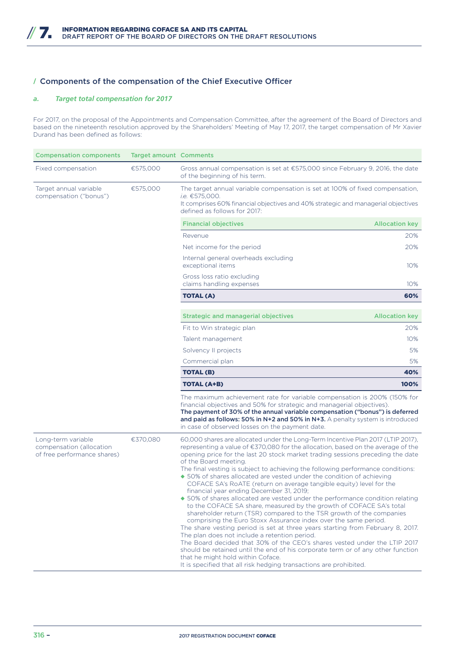## / Components of the compensation of the Chief Executive Officer

## *a. Target total compensation for 2017*

For 2017, on the proposal of the Appointments and Compensation Committee, after the agreement of the Board of Directors and based on the nineteenth resolution approved by the Shareholders' Meeting of May 17, 2017, the target compensation of Mr Xavier Durand has been defined as follows:

| <b>Compensation components</b>                                                | <b>Target amount Comments</b> |                                                                                                                                                                                                                                                                                                                                                                                                                                                                                                                                                                                                                                                                                                                                                                                                                                                                                                                                                                                                                                                                                                                                                                                                                                                                                 |                       |
|-------------------------------------------------------------------------------|-------------------------------|---------------------------------------------------------------------------------------------------------------------------------------------------------------------------------------------------------------------------------------------------------------------------------------------------------------------------------------------------------------------------------------------------------------------------------------------------------------------------------------------------------------------------------------------------------------------------------------------------------------------------------------------------------------------------------------------------------------------------------------------------------------------------------------------------------------------------------------------------------------------------------------------------------------------------------------------------------------------------------------------------------------------------------------------------------------------------------------------------------------------------------------------------------------------------------------------------------------------------------------------------------------------------------|-----------------------|
| Fixed compensation                                                            | €575,000                      | Gross annual compensation is set at €575,000 since February 9, 2016, the date<br>of the beginning of his term.                                                                                                                                                                                                                                                                                                                                                                                                                                                                                                                                                                                                                                                                                                                                                                                                                                                                                                                                                                                                                                                                                                                                                                  |                       |
| Target annual variable<br>compensation ("bonus")                              | €575,000                      | The target annual variable compensation is set at 100% of fixed compensation,<br><i>i.e.</i> €575,000.<br>It comprises 60% financial objectives and 40% strategic and managerial objectives<br>defined as follows for 2017:                                                                                                                                                                                                                                                                                                                                                                                                                                                                                                                                                                                                                                                                                                                                                                                                                                                                                                                                                                                                                                                     |                       |
|                                                                               |                               | <b>Financial objectives</b>                                                                                                                                                                                                                                                                                                                                                                                                                                                                                                                                                                                                                                                                                                                                                                                                                                                                                                                                                                                                                                                                                                                                                                                                                                                     | <b>Allocation key</b> |
|                                                                               |                               | Revenue                                                                                                                                                                                                                                                                                                                                                                                                                                                                                                                                                                                                                                                                                                                                                                                                                                                                                                                                                                                                                                                                                                                                                                                                                                                                         | 20%                   |
|                                                                               |                               | Net income for the period                                                                                                                                                                                                                                                                                                                                                                                                                                                                                                                                                                                                                                                                                                                                                                                                                                                                                                                                                                                                                                                                                                                                                                                                                                                       | 20%                   |
|                                                                               |                               | Internal general overheads excluding<br>exceptional items                                                                                                                                                                                                                                                                                                                                                                                                                                                                                                                                                                                                                                                                                                                                                                                                                                                                                                                                                                                                                                                                                                                                                                                                                       | 10%                   |
|                                                                               |                               | Gross loss ratio excluding<br>claims handling expenses                                                                                                                                                                                                                                                                                                                                                                                                                                                                                                                                                                                                                                                                                                                                                                                                                                                                                                                                                                                                                                                                                                                                                                                                                          | 10%                   |
|                                                                               |                               | <b>TOTAL (A)</b>                                                                                                                                                                                                                                                                                                                                                                                                                                                                                                                                                                                                                                                                                                                                                                                                                                                                                                                                                                                                                                                                                                                                                                                                                                                                | 60%                   |
|                                                                               |                               | <b>Strategic and managerial objectives</b>                                                                                                                                                                                                                                                                                                                                                                                                                                                                                                                                                                                                                                                                                                                                                                                                                                                                                                                                                                                                                                                                                                                                                                                                                                      | <b>Allocation key</b> |
|                                                                               |                               | Fit to Win strategic plan                                                                                                                                                                                                                                                                                                                                                                                                                                                                                                                                                                                                                                                                                                                                                                                                                                                                                                                                                                                                                                                                                                                                                                                                                                                       | 20%                   |
|                                                                               |                               | Talent management                                                                                                                                                                                                                                                                                                                                                                                                                                                                                                                                                                                                                                                                                                                                                                                                                                                                                                                                                                                                                                                                                                                                                                                                                                                               | 10%                   |
|                                                                               |                               | Solvency II projects                                                                                                                                                                                                                                                                                                                                                                                                                                                                                                                                                                                                                                                                                                                                                                                                                                                                                                                                                                                                                                                                                                                                                                                                                                                            | 5%                    |
|                                                                               |                               | Commercial plan                                                                                                                                                                                                                                                                                                                                                                                                                                                                                                                                                                                                                                                                                                                                                                                                                                                                                                                                                                                                                                                                                                                                                                                                                                                                 | 5%                    |
|                                                                               |                               | <b>TOTAL (B)</b>                                                                                                                                                                                                                                                                                                                                                                                                                                                                                                                                                                                                                                                                                                                                                                                                                                                                                                                                                                                                                                                                                                                                                                                                                                                                | 40%                   |
|                                                                               |                               | <b>TOTAL (A+B)</b>                                                                                                                                                                                                                                                                                                                                                                                                                                                                                                                                                                                                                                                                                                                                                                                                                                                                                                                                                                                                                                                                                                                                                                                                                                                              | 100%                  |
|                                                                               |                               | The maximum achievement rate for variable compensation is 200% (150% for<br>financial objectives and 50% for strategic and managerial objectives).<br>The payment of 30% of the annual variable compensation ("bonus") is deferred<br>and paid as follows: 50% in $N+2$ and 50% in $N+3$ . A penalty system is introduced<br>in case of observed losses on the payment date.                                                                                                                                                                                                                                                                                                                                                                                                                                                                                                                                                                                                                                                                                                                                                                                                                                                                                                    |                       |
| Long-term variable<br>compensation (allocation<br>of free performance shares) | €370,080                      | 60,000 shares are allocated under the Long-Term Incentive Plan 2017 (LTIP 2017),<br>representing a value of €370,080 for the allocation, based on the average of the<br>opening price for the last 20 stock market trading sessions preceding the date<br>of the Board meeting.<br>The final vesting is subject to achieving the following performance conditions:<br>◆ 50% of shares allocated are vested under the condition of achieving<br>COFACE SA's RoATE (return on average tangible equity) level for the<br>financial year ending December 31, 2019;<br>◆ 50% of shares allocated are vested under the performance condition relating<br>to the COFACE SA share, measured by the growth of COFACE SA's total<br>shareholder return (TSR) compared to the TSR growth of the companies<br>comprising the Euro Stoxx Assurance index over the same period.<br>The share vesting period is set at three years starting from February 8, 2017.<br>The plan does not include a retention period.<br>The Board decided that 30% of the CEO's shares vested under the LTIP 2017<br>should be retained until the end of his corporate term or of any other function<br>that he might hold within Coface.<br>It is specified that all risk hedging transactions are prohibited. |                       |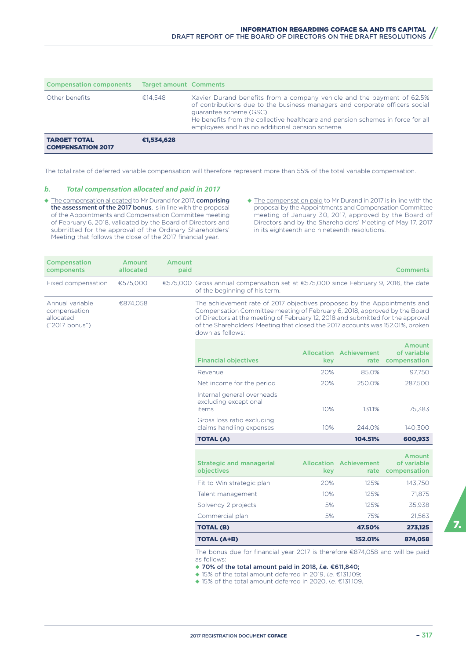| <b>Compensation components</b>                  | <b>Target amount Comments</b> |                                                                                                                                                                                                                                                                                                                        |
|-------------------------------------------------|-------------------------------|------------------------------------------------------------------------------------------------------------------------------------------------------------------------------------------------------------------------------------------------------------------------------------------------------------------------|
| Other benefits                                  | €14.548                       | Xavier Durand benefits from a company vehicle and the payment of 62.5%<br>of contributions due to the business managers and corporate officers social<br>quarantee scheme (GSC).<br>He benefits from the collective healthcare and pension schemes in force for all<br>employees and has no additional pension scheme. |
| <b>TARGET TOTAL</b><br><b>COMPENSATION 2017</b> | €1.534.628                    |                                                                                                                                                                                                                                                                                                                        |

The total rate of deferred variable compensation will therefore represent more than 55% of the total variable compensation.

#### *b. Total compensation allocated and paid in 2017*

- ◆ The compensation allocated to Mr Durand for 2017, comprising the assessment of the 2017 bonus, is in line with the proposal of the Appointments and Compensation Committee meeting of February 6, 2018, validated by the Board of Directors and submitted for the approval of the Ordinary Shareholders' Meeting that follows the close of the 2017 financial year.
- ◆ The compensation paid to Mr Durand in 2017 is in line with the proposal by the Appointments and Compensation Committee meeting of January 30, 2017, approved by the Board of Directors and by the Shareholders' Meeting of May 17, 2017 in its eighteenth and nineteenth resolutions.

| <b>Compensation</b><br>components                              | Amount<br>allocated | Amount<br>paid |                                                                                                                                                                                                                                                                                                                                                |     |                                                                                                                                                                                                                                                                                                 | <b>Comments</b>                                   |
|----------------------------------------------------------------|---------------------|----------------|------------------------------------------------------------------------------------------------------------------------------------------------------------------------------------------------------------------------------------------------------------------------------------------------------------------------------------------------|-----|-------------------------------------------------------------------------------------------------------------------------------------------------------------------------------------------------------------------------------------------------------------------------------------------------|---------------------------------------------------|
| Fixed compensation                                             | €575,000            |                | €575,000 Gross annual compensation set at €575,000 since February 9, 2016, the date<br>of the beginning of his term.                                                                                                                                                                                                                           |     |                                                                                                                                                                                                                                                                                                 |                                                   |
| Annual variable<br>compensation<br>allocated<br>("2017 bonus") | €874,058            |                | The achievement rate of 2017 objectives proposed by the Appointments and<br>Compensation Committee meeting of February 6, 2018, approved by the Board<br>of Directors at the meeting of February 12, 2018 and submitted for the approval<br>of the Shareholders' Meeting that closed the 2017 accounts was 152.01%, broken<br>down as follows: |     |                                                                                                                                                                                                                                                                                                 |                                                   |
|                                                                |                     |                | <b>Financial objectives</b>                                                                                                                                                                                                                                                                                                                    | kev | <b>Allocation Achievement</b><br>rate                                                                                                                                                                                                                                                           | Amount<br>of variable<br>compensation             |
|                                                                |                     |                | Revenue                                                                                                                                                                                                                                                                                                                                        | 20% | 85.0%                                                                                                                                                                                                                                                                                           | 97,750                                            |
|                                                                |                     |                | Net income for the period                                                                                                                                                                                                                                                                                                                      | 20% | 250.0%                                                                                                                                                                                                                                                                                          | 287,500                                           |
|                                                                |                     |                | Internal general overheads<br>excluding exceptional<br>items                                                                                                                                                                                                                                                                                   | 10% | 131.1%                                                                                                                                                                                                                                                                                          | 75,383                                            |
|                                                                |                     |                | Gross loss ratio excluding<br>claims handling expenses                                                                                                                                                                                                                                                                                         | 10% | 244.0%                                                                                                                                                                                                                                                                                          | 140,300                                           |
|                                                                |                     |                | <b>TOTAL (A)</b>                                                                                                                                                                                                                                                                                                                               |     | 104.51%                                                                                                                                                                                                                                                                                         | 600,933                                           |
|                                                                |                     |                | <b>Strategic and managerial</b><br>objectives                                                                                                                                                                                                                                                                                                  | key | <b>Allocation Achievement</b>                                                                                                                                                                                                                                                                   | <b>Amount</b><br>of variable<br>rate compensation |
|                                                                |                     |                | Fit to Win strategic plan                                                                                                                                                                                                                                                                                                                      | 20% | 125%                                                                                                                                                                                                                                                                                            | 143,750                                           |
|                                                                |                     |                | Talent management                                                                                                                                                                                                                                                                                                                              | 10% | 125%                                                                                                                                                                                                                                                                                            | 71,875                                            |
|                                                                |                     |                | Solvency 2 projects                                                                                                                                                                                                                                                                                                                            | 5%  | 125%                                                                                                                                                                                                                                                                                            | 35,938                                            |
|                                                                |                     |                | Commercial plan                                                                                                                                                                                                                                                                                                                                | 5%  | 75%                                                                                                                                                                                                                                                                                             | 21,563                                            |
|                                                                |                     |                | <b>TOTAL (B)</b>                                                                                                                                                                                                                                                                                                                               |     | 47.50%                                                                                                                                                                                                                                                                                          | 273,125                                           |
|                                                                |                     |                | <b>TOTAL (A+B)</b>                                                                                                                                                                                                                                                                                                                             |     | 152.01%                                                                                                                                                                                                                                                                                         | 874,058                                           |
|                                                                |                     |                |                                                                                                                                                                                                                                                                                                                                                |     | The bonus due for financial year 2017 is therefore €874,058 and will be paid<br>as follows:<br>◆ 70% of the total amount paid in 2018, i.e. €611,840;<br>◆ 15% of the total amount deferred in 2019, <i>i.e.</i> €131,109;<br>◆ 15% of the total amount deferred in 2020, <i>i.e.</i> €131,109. |                                                   |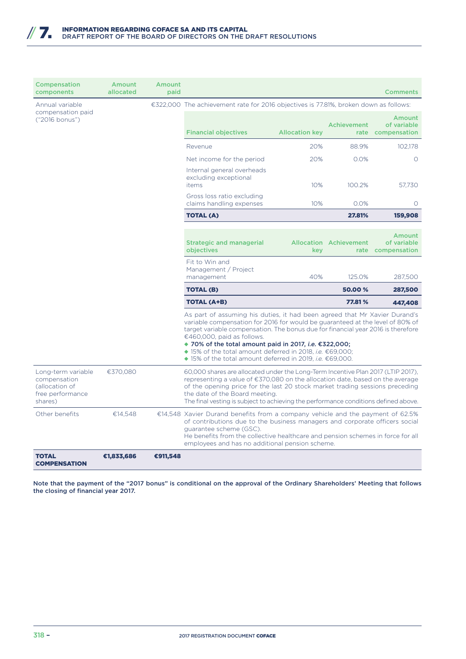| Compensation<br>components                                                          | Amount<br>allocated | Amount<br>paid |                                                                                                                                                                                                                                                                                                                                                                                                                                                                                                                  |                                                                                      |                               | <b>Comments</b>                       |
|-------------------------------------------------------------------------------------|---------------------|----------------|------------------------------------------------------------------------------------------------------------------------------------------------------------------------------------------------------------------------------------------------------------------------------------------------------------------------------------------------------------------------------------------------------------------------------------------------------------------------------------------------------------------|--------------------------------------------------------------------------------------|-------------------------------|---------------------------------------|
| Annual variable                                                                     |                     |                |                                                                                                                                                                                                                                                                                                                                                                                                                                                                                                                  | €322,000 The achievement rate for 2016 objectives is 77.81%, broken down as follows: |                               |                                       |
| compensation paid<br>("2016 bonus")                                                 |                     |                | <b>Financial objectives</b>                                                                                                                                                                                                                                                                                                                                                                                                                                                                                      | <b>Allocation key</b>                                                                | <b>Achievement</b><br>rate    | Amount<br>of variable<br>compensation |
|                                                                                     |                     |                | Revenue                                                                                                                                                                                                                                                                                                                                                                                                                                                                                                          | 20%                                                                                  | 88.9%                         | 102.178                               |
|                                                                                     |                     |                | Net income for the period                                                                                                                                                                                                                                                                                                                                                                                                                                                                                        | 20%                                                                                  | 0.0%                          | $\circ$                               |
|                                                                                     |                     |                | Internal general overheads<br>excluding exceptional<br>items                                                                                                                                                                                                                                                                                                                                                                                                                                                     | 10%                                                                                  | 100.2%                        | 57.730                                |
|                                                                                     |                     |                | Gross loss ratio excluding<br>claims handling expenses                                                                                                                                                                                                                                                                                                                                                                                                                                                           | 10%                                                                                  | 0.0%                          | $\circ$                               |
|                                                                                     |                     |                | <b>TOTAL (A)</b>                                                                                                                                                                                                                                                                                                                                                                                                                                                                                                 |                                                                                      | 27.81%                        | 159,908                               |
|                                                                                     |                     |                | <b>Strategic and managerial</b>                                                                                                                                                                                                                                                                                                                                                                                                                                                                                  |                                                                                      | <b>Allocation Achievement</b> | Amount<br>of variable                 |
|                                                                                     |                     |                | objectives                                                                                                                                                                                                                                                                                                                                                                                                                                                                                                       | kev                                                                                  |                               | rate compensation                     |
|                                                                                     |                     |                | Fit to Win and<br>Management / Project<br>management                                                                                                                                                                                                                                                                                                                                                                                                                                                             | 40%                                                                                  | 125.0%                        | 287,500                               |
|                                                                                     |                     |                | <b>TOTAL (B)</b>                                                                                                                                                                                                                                                                                                                                                                                                                                                                                                 |                                                                                      | 50.00%                        | 287,500                               |
|                                                                                     |                     |                | <b>TOTAL (A+B)</b>                                                                                                                                                                                                                                                                                                                                                                                                                                                                                               |                                                                                      | 77.81%                        | 447,408                               |
|                                                                                     |                     |                | As part of assuming his duties, it had been agreed that Mr Xavier Durand's<br>variable compensation for 2016 for would be guaranteed at the level of 80% of<br>target variable compensation. The bonus due for financial year 2016 is therefore<br>€460,000, paid as follows.<br>◆ 70% of the total amount paid in 2017, <i>i.e.</i> $€322,000;$<br>◆ 15% of the total amount deferred in 2018, <i>i.e.</i> €69,000;<br>$\blacklozenge$ 15% of the total amount deferred in 2019, <i>i.e.</i> $\epsilon$ 69,000. |                                                                                      |                               |                                       |
| Long-term variable<br>compensation<br>(allocation of<br>free performance<br>shares) | €370,080            |                | 60,000 shares are allocated under the Long-Term Incentive Plan 2017 (LTIP 2017),<br>representing a value of $\epsilon$ 370,080 on the allocation date, based on the average<br>of the opening price for the last 20 stock market trading sessions preceding<br>the date of the Board meeting.<br>The final vesting is subject to achieving the performance conditions defined above.                                                                                                                             |                                                                                      |                               |                                       |
| Other benefits                                                                      | €14,548             |                | €14,548 Xavier Durand benefits from a company vehicle and the payment of 62.5%<br>of contributions due to the business managers and corporate officers social<br>quarantee scheme (GSC).<br>He benefits from the collective healthcare and pension schemes in force for all<br>employees and has no additional pension scheme.                                                                                                                                                                                   |                                                                                      |                               |                                       |
| <b>TOTAL</b><br><b>COMPENSATION</b>                                                 | €1,833,686          | €911,548       |                                                                                                                                                                                                                                                                                                                                                                                                                                                                                                                  |                                                                                      |                               |                                       |

Note that the payment of the "2017 bonus" is conditional on the approval of the Ordinary Shareholders' Meeting that follows the closing of financial year 2017.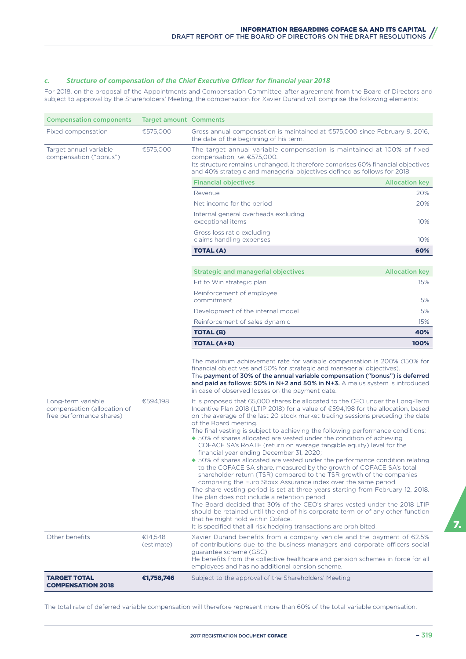## *c. Structure of compensation of the Chief Executive Officer for financial year 2018*

For 2018, on the proposal of the Appointments and Compensation Committee, after agreement from the Board of Directors and subject to approval by the Shareholders' Meeting, the compensation for Xavier Durand will comprise the following elements:

| <b>Compensation components</b>                                                | <b>Target amount Comments</b> |                                                                                                                                                                                                                                                                                                                                                                                                                                                                                                                                                                                                                                                                                                                                                                                                                                                                                                                                                                                                                                                                                                                                                                                                                                                                                |                       |  |
|-------------------------------------------------------------------------------|-------------------------------|--------------------------------------------------------------------------------------------------------------------------------------------------------------------------------------------------------------------------------------------------------------------------------------------------------------------------------------------------------------------------------------------------------------------------------------------------------------------------------------------------------------------------------------------------------------------------------------------------------------------------------------------------------------------------------------------------------------------------------------------------------------------------------------------------------------------------------------------------------------------------------------------------------------------------------------------------------------------------------------------------------------------------------------------------------------------------------------------------------------------------------------------------------------------------------------------------------------------------------------------------------------------------------|-----------------------|--|
| Fixed compensation                                                            | €575,000                      | Gross annual compensation is maintained at €575,000 since February 9, 2016,<br>the date of the beginning of his term.                                                                                                                                                                                                                                                                                                                                                                                                                                                                                                                                                                                                                                                                                                                                                                                                                                                                                                                                                                                                                                                                                                                                                          |                       |  |
| Target annual variable<br>compensation ("bonus")                              | €575,000                      | The target annual variable compensation is maintained at 100% of fixed<br>compensation, i.e. €575,000.<br>Its structure remains unchanged. It therefore comprises 60% financial objectives<br>and 40% strategic and managerial objectives defined as follows for 2018:                                                                                                                                                                                                                                                                                                                                                                                                                                                                                                                                                                                                                                                                                                                                                                                                                                                                                                                                                                                                         |                       |  |
|                                                                               |                               | <b>Financial objectives</b>                                                                                                                                                                                                                                                                                                                                                                                                                                                                                                                                                                                                                                                                                                                                                                                                                                                                                                                                                                                                                                                                                                                                                                                                                                                    | <b>Allocation key</b> |  |
|                                                                               |                               | Revenue                                                                                                                                                                                                                                                                                                                                                                                                                                                                                                                                                                                                                                                                                                                                                                                                                                                                                                                                                                                                                                                                                                                                                                                                                                                                        | 20%                   |  |
|                                                                               |                               | Net income for the period                                                                                                                                                                                                                                                                                                                                                                                                                                                                                                                                                                                                                                                                                                                                                                                                                                                                                                                                                                                                                                                                                                                                                                                                                                                      | 20%                   |  |
|                                                                               |                               | Internal general overheads excluding<br>exceptional items                                                                                                                                                                                                                                                                                                                                                                                                                                                                                                                                                                                                                                                                                                                                                                                                                                                                                                                                                                                                                                                                                                                                                                                                                      | 10%                   |  |
|                                                                               |                               | Gross loss ratio excluding<br>claims handling expenses                                                                                                                                                                                                                                                                                                                                                                                                                                                                                                                                                                                                                                                                                                                                                                                                                                                                                                                                                                                                                                                                                                                                                                                                                         | 10%                   |  |
|                                                                               |                               | <b>TOTAL (A)</b>                                                                                                                                                                                                                                                                                                                                                                                                                                                                                                                                                                                                                                                                                                                                                                                                                                                                                                                                                                                                                                                                                                                                                                                                                                                               | 60%                   |  |
|                                                                               |                               | <b>Strategic and managerial objectives</b>                                                                                                                                                                                                                                                                                                                                                                                                                                                                                                                                                                                                                                                                                                                                                                                                                                                                                                                                                                                                                                                                                                                                                                                                                                     | <b>Allocation key</b> |  |
|                                                                               |                               | Fit to Win strategic plan                                                                                                                                                                                                                                                                                                                                                                                                                                                                                                                                                                                                                                                                                                                                                                                                                                                                                                                                                                                                                                                                                                                                                                                                                                                      | 15%                   |  |
|                                                                               |                               | Reinforcement of employee<br>commitment                                                                                                                                                                                                                                                                                                                                                                                                                                                                                                                                                                                                                                                                                                                                                                                                                                                                                                                                                                                                                                                                                                                                                                                                                                        | 5%                    |  |
|                                                                               |                               | Development of the internal model                                                                                                                                                                                                                                                                                                                                                                                                                                                                                                                                                                                                                                                                                                                                                                                                                                                                                                                                                                                                                                                                                                                                                                                                                                              | 5%                    |  |
|                                                                               |                               | Reinforcement of sales dynamic                                                                                                                                                                                                                                                                                                                                                                                                                                                                                                                                                                                                                                                                                                                                                                                                                                                                                                                                                                                                                                                                                                                                                                                                                                                 | 15%                   |  |
|                                                                               |                               | <b>TOTAL (B)</b>                                                                                                                                                                                                                                                                                                                                                                                                                                                                                                                                                                                                                                                                                                                                                                                                                                                                                                                                                                                                                                                                                                                                                                                                                                                               | 40%                   |  |
|                                                                               |                               | <b>TOTAL (A+B)</b>                                                                                                                                                                                                                                                                                                                                                                                                                                                                                                                                                                                                                                                                                                                                                                                                                                                                                                                                                                                                                                                                                                                                                                                                                                                             | 100%                  |  |
|                                                                               |                               | The maximum achievement rate for variable compensation is 200% (150% for<br>financial objectives and 50% for strategic and managerial objectives).<br>The payment of 30% of the annual variable compensation ("bonus") is deferred<br>and paid as follows: 50% in $N+2$ and 50% in $N+3$ . A malus system is introduced<br>in case of observed losses on the payment date.                                                                                                                                                                                                                                                                                                                                                                                                                                                                                                                                                                                                                                                                                                                                                                                                                                                                                                     |                       |  |
| Long-term variable<br>compensation (allocation of<br>free performance shares) | €594,198                      | It is proposed that 65,000 shares be allocated to the CEO under the Long-Term<br>Incentive Plan 2018 (LTIP 2018) for a value of €594,198 for the allocation, based<br>on the average of the last 20 stock market trading sessions preceding the date<br>of the Board meeting.<br>The final vesting is subject to achieving the following performance conditions:<br>◆ 50% of shares allocated are vested under the condition of achieving<br>COFACE SA's RoATE (return on average tangible equity) level for the<br>financial year ending December 31, 2020;<br>◆ 50% of shares allocated are vested under the performance condition relating<br>to the COFACE SA share, measured by the growth of COFACE SA's total<br>shareholder return (TSR) compared to the TSR growth of the companies<br>comprising the Euro Stoxx Assurance index over the same period.<br>The share vesting period is set at three years starting from February 12, 2018.<br>The plan does not include a retention period.<br>The Board decided that 30% of the CEO's shares vested under the 2018 LTIP<br>should be retained until the end of his corporate term or of any other function<br>that he might hold within Coface.<br>It is specified that all risk hedging transactions are prohibited. |                       |  |
| Other benefits                                                                | €14,548<br>(estimate)         | Xavier Durand benefits from a company vehicle and the payment of 62.5%<br>of contributions due to the business managers and corporate officers social<br>guarantee scheme (GSC).<br>He benefits from the collective healthcare and pension schemes in force for all<br>employees and has no additional pension scheme.                                                                                                                                                                                                                                                                                                                                                                                                                                                                                                                                                                                                                                                                                                                                                                                                                                                                                                                                                         |                       |  |
| <b>TARGET TOTAL</b><br><b>COMPENSATION 2018</b>                               | €1,758,746                    | Subject to the approval of the Shareholders' Meeting                                                                                                                                                                                                                                                                                                                                                                                                                                                                                                                                                                                                                                                                                                                                                                                                                                                                                                                                                                                                                                                                                                                                                                                                                           |                       |  |

The total rate of deferred variable compensation will therefore represent more than 60% of the total variable compensation.